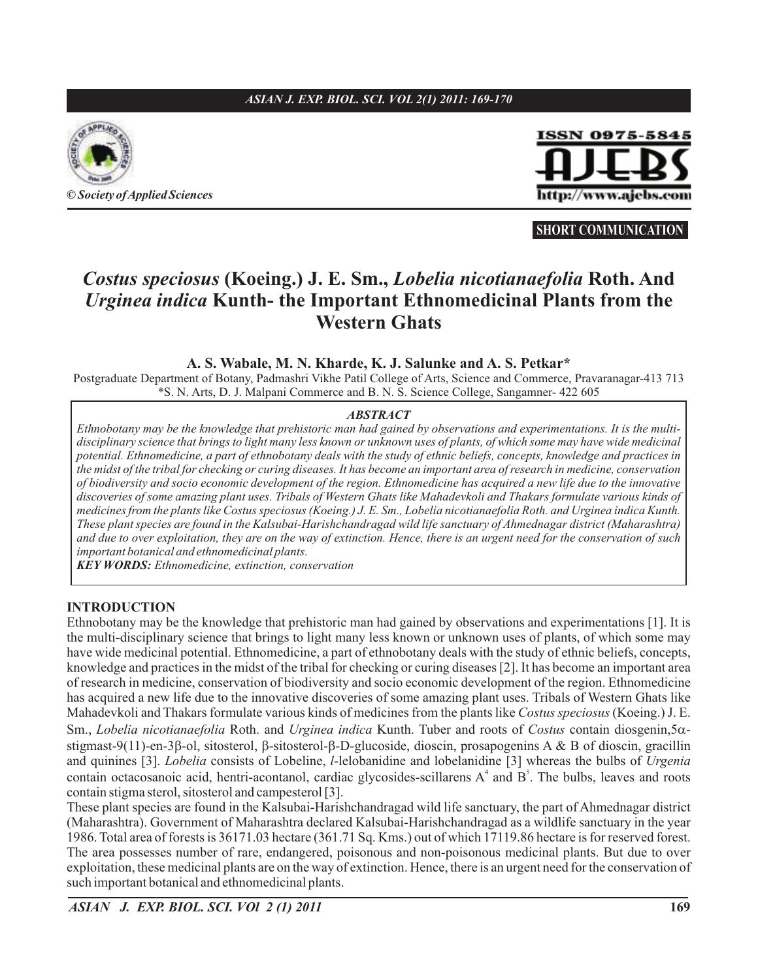## *ASIAN J. EXP. BIOL. SCI. VOL 2(1) 2011: 169-170*



**©** *Society ofApplied Sciences*



**SHORT COMMUNICATION**

# Costus speciosus (Koeing.) J. E. Sm., Lobelia nicotianaefolia Roth. And *Urginea indica* **Kunth- the Important Ethnomedicinal Plants from the Western Ghats**

### **A. S. Wabale, M. N. Kharde, K. J. Salunke and A. S. Petkar\***

Postgraduate Department of Botany, Padmashri Vikhe Patil College of Arts, Science and Commerce, Pravaranagar-413 713 \*S. N. Arts, D. J. Malpani Commerce and B. N. S. Science College, Sangamner- 422 605

#### *ABSTRACT*

*Ethnobotany may be the knowledge that prehistoric man had gained by observations and experimentations. It is the multidisciplinary science that brings to light many less known or unknown uses of plants, of which some may have wide medicinal potential. Ethnomedicine, a part of ethnobotany deals with the study of ethnic beliefs, concepts, knowledge and practices in the midst of the tribal for checking or curing diseases. It has become an important area of research in medicine, conservation of biodiversity and socio economic development of the region. Ethnomedicine has acquired a new life due to the innovative discoveries of some amazing plant uses. Tribals of Western Ghats like Mahadevkoli and Thakars formulate various kinds of medicines from the plants like Costus speciosus (Koeing.) J. E. Sm., Lobelia nicotianaefolia Roth. and Urginea indica Kunth. These plant species are found in the Kalsubai-Harishchandragad wild life sanctuary of Ahmednagar district (Maharashtra) and due to over exploitation, they are on the way of extinction. Hence, there is an urgent need for the conservation of such important botanical and ethnomedicinal plants.*

*KEY WORDS: Ethnomedicine, extinction, conservation*

### **INTRODUCTION**

Ethnobotany may be the knowledge that prehistoric man had gained by observations and experimentations [1]. It is the multi-disciplinary science that brings to light many less known or unknown uses of plants, of which some may have wide medicinal potential. Ethnomedicine, a part of ethnobotany deals with the study of ethnic beliefs, concepts, knowledge and practices in the midst of the tribal for checking or curing diseases [2]. It has become an important area of research in medicine, conservation of biodiversity and socio economic development of the region. Ethnomedicine has acquired a new life due to the innovative discoveries of some amazing plant uses. Tribals of Western Ghats like Mahadevkoli and Thakars formulate various kinds of medicines from the plants like Costus speciosus (Koeing.) J. E. Sm., Lobelia nicotianaefolia Roth. and Urginea indica Kunth. Tuber and roots of Costus contain diosgenin, 5αstigmast-9(11)-en-3 $\beta$ -ol, sitosterol,  $\beta$ -sitosterol- $\beta$ -D-glucoside, dioscin, prosapogenins A & B of dioscin, gracillin and quinines [3]. *Lobelia* consists of Lobeline, *l*-lelobanidine and lobelanidine [3] whereas the bulbs of *Urgenia* contain octacosanoic acid, hentri-acontanol, cardiac glycosides-scillarens  $A^4$  and  $B^5$ . The bulbs, leaves and roots contain stigma sterol, sitosterol and campesterol [3].

These plant species are found in the Kalsubai-Harishchandragad wild life sanctuary, the part of Ahmednagar district (Maharashtra). Government of Maharashtra declared Kalsubai-Harishchandragad as a wildlife sanctuary in the year 1986. Total area of forests is 36171.03 hectare (361.71 Sq. Kms.) out of which 17119.86 hectare is for reserved forest. The area possesses number of rare, endangered, poisonous and non-poisonous medicinal plants. But due to over exploitation, these medicinal plants are on the way of extinction. Hence, there is an urgent need for the conservation of such important botanical and ethnomedicinal plants.